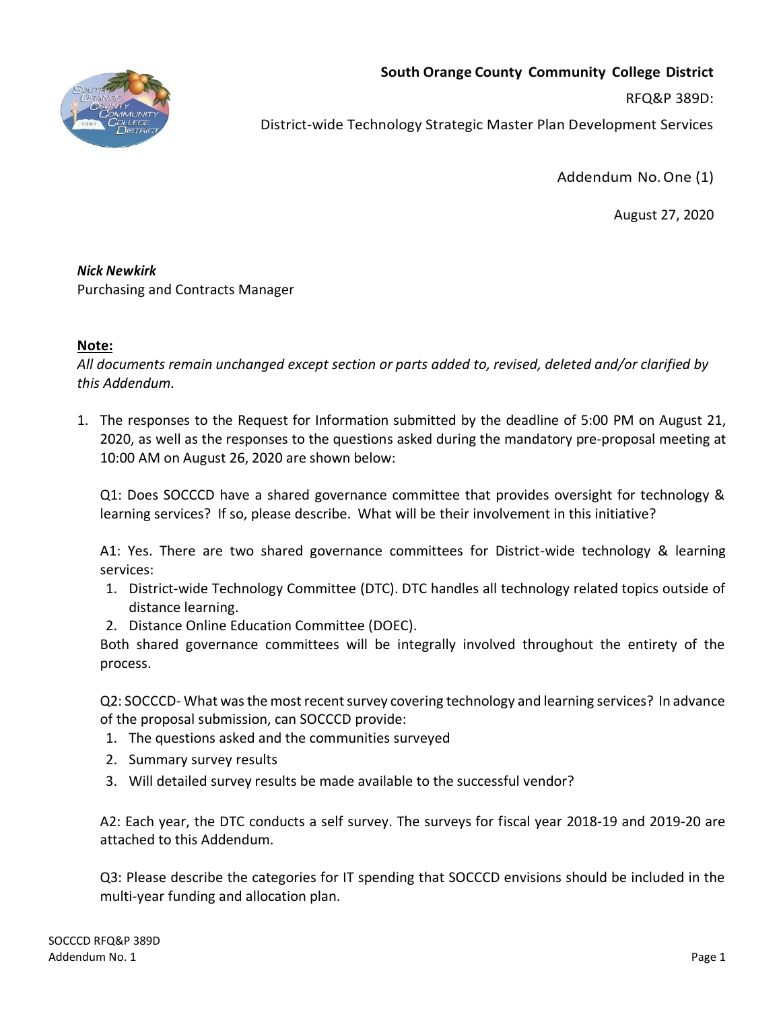

## **South Orange County Community College District**

RFQ&P 389D:

District-wide Technology Strategic Master Plan Development Services

Addendum No.One (1)

August 27, 2020

## *Nick Newkirk*

Purchasing and Contracts Manager

## **Note:**

*All documents remain unchanged except section or parts added to, revised, deleted and/or clarified by this Addendum.*

1. The responses to the Request for Information submitted by the deadline of 5:00 PM on August 21, 2020, as well as the responses to the questions asked during the mandatory pre-proposal meeting at 10:00 AM on August 26, 2020 are shown below:

Q1: Does SOCCCD have a shared governance committee that provides oversight for technology & learning services? If so, please describe. What will be their involvement in this initiative?

A1: Yes. There are two shared governance committees for District-wide technology & learning services:

- 1. District-wide Technology Committee (DTC). DTC handles all technology related topics outside of distance learning.
- 2. Distance Online Education Committee (DOEC).

Both shared governance committees will be integrally involved throughout the entirety of the process.

Q2: SOCCCD- What was the most recent survey covering technology and learning services? In advance of the proposal submission, can SOCCCD provide:

- 1. The questions asked and the communities surveyed
- 2. Summary survey results
- 3. Will detailed survey results be made available to the successful vendor?

A2: Each year, the DTC conducts a self survey. The surveys for fiscal year 2018-19 and 2019-20 are attached to this Addendum.

Q3: Please describe the categories for IT spending that SOCCCD envisions should be included in the multi-year funding and allocation plan.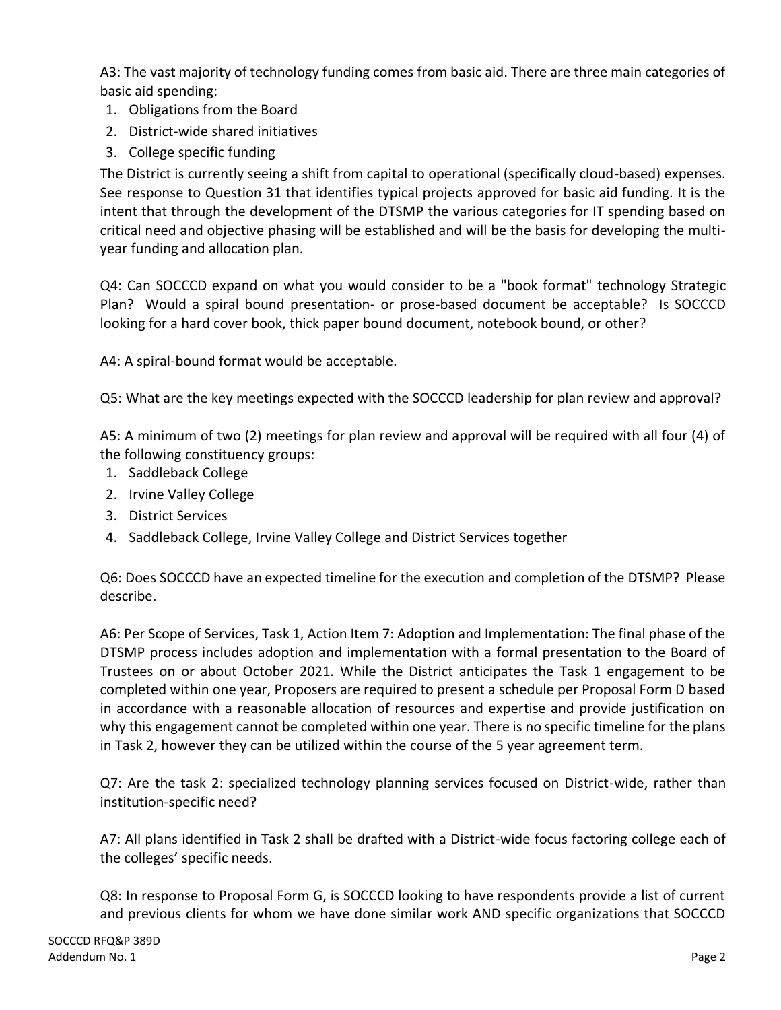A3: The vast majority of technology funding comes from basic aid. There are three main categories of basic aid spending:

- 1. Obligations from the Board
- 2. District-wide shared initiatives
- 3. College specific funding

The District is currently seeing a shift from capital to operational (specifically cloud-based) expenses. See response to Question 31 that identifies typical projects approved for basic aid funding. It is the intent that through the development of the DTSMP the various categories for IT spending based on critical need and objective phasing will be established and will be the basis for developing the multiyear funding and allocation plan.

Q4: Can SOCCCD expand on what you would consider to be a "book format" technology Strategic Plan? Would a spiral bound presentation- or prose-based document be acceptable? Is SOCCCD looking for a hard cover book, thick paper bound document, notebook bound, or other?

A4: A spiral-bound format would be acceptable.

Q5: What are the key meetings expected with the SOCCCD leadership for plan review and approval?

A5: A minimum of two (2) meetings for plan review and approval will be required with all four (4) of the following constituency groups:

- 1. Saddleback College
- 2. Irvine Valley College
- 3. District Services
- 4. Saddleback College, Irvine Valley College and District Services together

Q6: Does SOCCCD have an expected timeline for the execution and completion of the DTSMP? Please describe.

A6: Per Scope of Services, Task 1, Action Item 7: Adoption and Implementation: The final phase of the DTSMP process includes adoption and implementation with a formal presentation to the Board of Trustees on or about October 2021. While the District anticipates the Task 1 engagement to be completed within one year, Proposers are required to present a schedule per Proposal Form D based in accordance with a reasonable allocation of resources and expertise and provide justification on why this engagement cannot be completed within one year. There is no specific timeline for the plans in Task 2, however they can be utilized within the course of the 5 year agreement term.

Q7: Are the task 2: specialized technology planning services focused on District-wide, rather than institution-specific need?

A7: All plans identified in Task 2 shall be drafted with a District-wide focus factoring college each of the colleges' specific needs.

Q8: In response to Proposal Form G, is SOCCCD looking to have respondents provide a list of current and previous clients for whom we have done similar work AND specific organizations that SOCCCD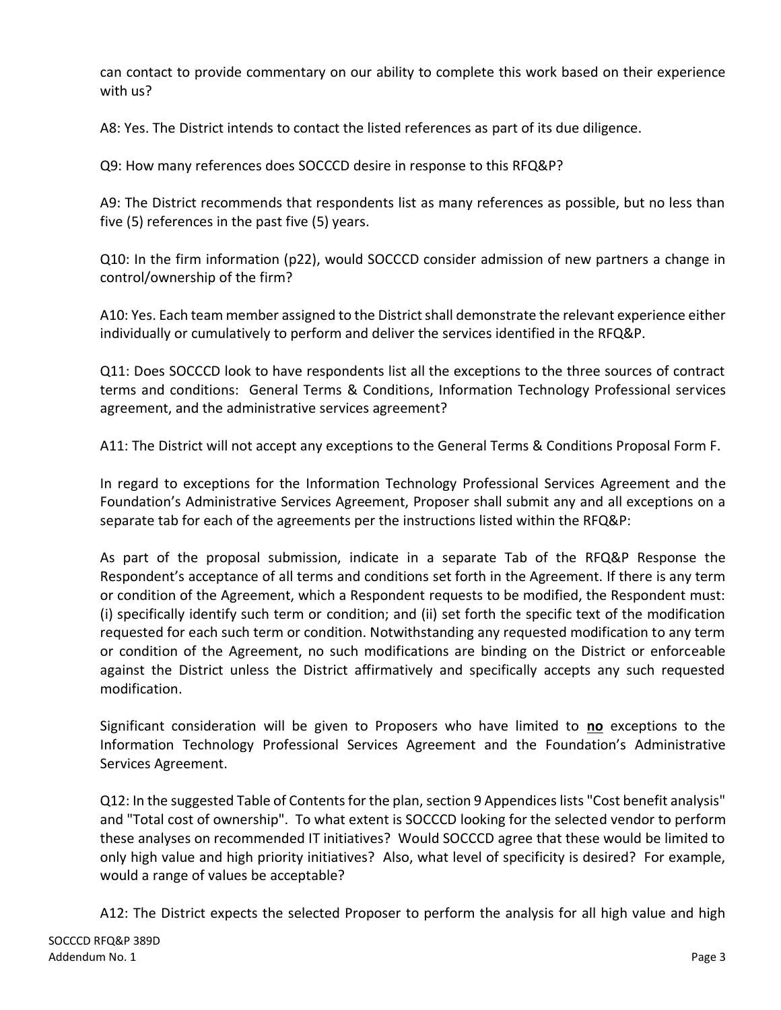can contact to provide commentary on our ability to complete this work based on their experience with us?

A8: Yes. The District intends to contact the listed references as part of its due diligence.

Q9: How many references does SOCCCD desire in response to this RFQ&P?

A9: The District recommends that respondents list as many references as possible, but no less than five (5) references in the past five (5) years.

Q10: In the firm information (p22), would SOCCCD consider admission of new partners a change in control/ownership of the firm?

A10: Yes. Each team member assigned to the District shall demonstrate the relevant experience either individually or cumulatively to perform and deliver the services identified in the RFQ&P.

Q11: Does SOCCCD look to have respondents list all the exceptions to the three sources of contract terms and conditions: General Terms & Conditions, Information Technology Professional services agreement, and the administrative services agreement?

A11: The District will not accept any exceptions to the General Terms & Conditions Proposal Form F.

In regard to exceptions for the Information Technology Professional Services Agreement and the Foundation's Administrative Services Agreement, Proposer shall submit any and all exceptions on a separate tab for each of the agreements per the instructions listed within the RFQ&P:

As part of the proposal submission, indicate in a separate Tab of the RFQ&P Response the Respondent's acceptance of all terms and conditions set forth in the Agreement. If there is any term or condition of the Agreement, which a Respondent requests to be modified, the Respondent must: (i) specifically identify such term or condition; and (ii) set forth the specific text of the modification requested for each such term or condition. Notwithstanding any requested modification to any term or condition of the Agreement, no such modifications are binding on the District or enforceable against the District unless the District affirmatively and specifically accepts any such requested modification.

Significant consideration will be given to Proposers who have limited to **no** exceptions to the Information Technology Professional Services Agreement and the Foundation's Administrative Services Agreement.

Q12: In the suggested Table of Contents for the plan, section 9 Appendices lists "Cost benefit analysis" and "Total cost of ownership". To what extent is SOCCCD looking for the selected vendor to perform these analyses on recommended IT initiatives? Would SOCCCD agree that these would be limited to only high value and high priority initiatives? Also, what level of specificity is desired? For example, would a range of values be acceptable?

A12: The District expects the selected Proposer to perform the analysis for all high value and high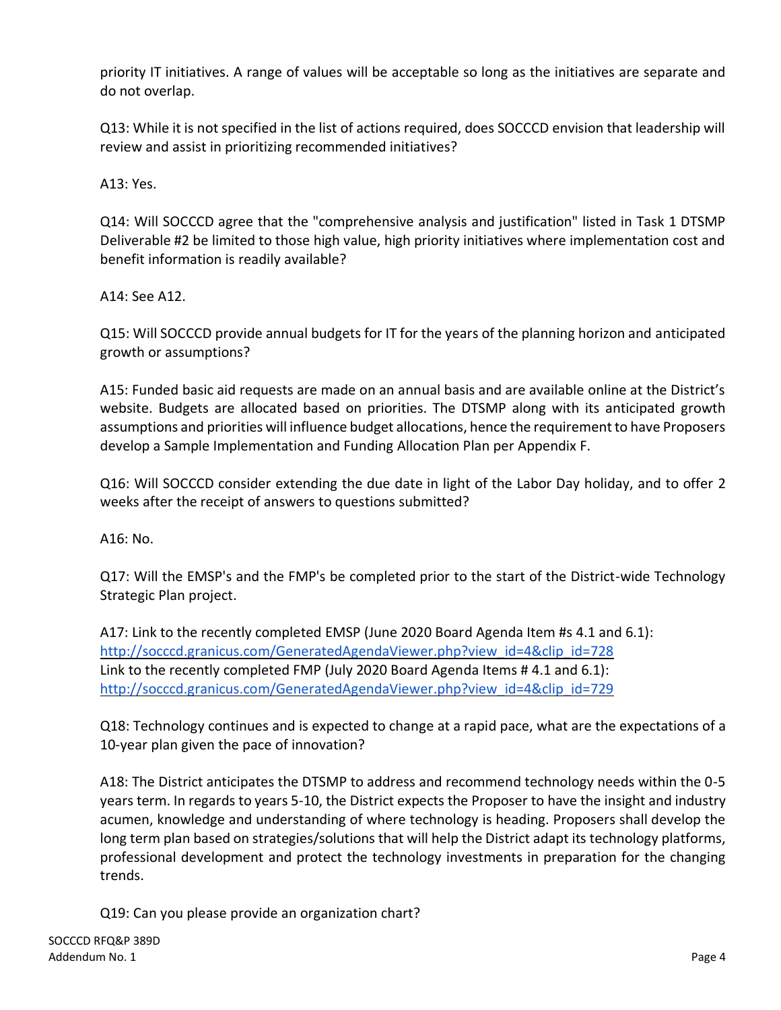priority IT initiatives. A range of values will be acceptable so long as the initiatives are separate and do not overlap.

Q13: While it is not specified in the list of actions required, does SOCCCD envision that leadership will review and assist in prioritizing recommended initiatives?

A13: Yes.

Q14: Will SOCCCD agree that the "comprehensive analysis and justification" listed in Task 1 DTSMP Deliverable #2 be limited to those high value, high priority initiatives where implementation cost and benefit information is readily available?

A14: See A12.

Q15: Will SOCCCD provide annual budgets for IT for the years of the planning horizon and anticipated growth or assumptions?

A15: Funded basic aid requests are made on an annual basis and are available online at the District's website. Budgets are allocated based on priorities. The DTSMP along with its anticipated growth assumptions and priorities will influence budget allocations, hence the requirement to have Proposers develop a Sample Implementation and Funding Allocation Plan per Appendix F.

Q16: Will SOCCCD consider extending the due date in light of the Labor Day holiday, and to offer 2 weeks after the receipt of answers to questions submitted?

A16: No.

Q17: Will the EMSP's and the FMP's be completed prior to the start of the District-wide Technology Strategic Plan project.

A17: Link to the recently completed EMSP (June 2020 Board Agenda Item #s 4.1 and 6.1): [http://socccd.granicus.com/GeneratedAgendaViewer.php?view\\_id=4&clip\\_id=728](http://socccd.granicus.com/GeneratedAgendaViewer.php?view_id=4&clip_id=728) Link to the recently completed FMP (July 2020 Board Agenda Items # 4.1 and 6.1): [http://socccd.granicus.com/GeneratedAgendaViewer.php?view\\_id=4&clip\\_id=729](http://socccd.granicus.com/GeneratedAgendaViewer.php?view_id=4&clip_id=729)

Q18: Technology continues and is expected to change at a rapid pace, what are the expectations of a 10-year plan given the pace of innovation?

A18: The District anticipates the DTSMP to address and recommend technology needs within the 0-5 years term. In regards to years 5-10, the District expects the Proposer to have the insight and industry acumen, knowledge and understanding of where technology is heading. Proposers shall develop the long term plan based on strategies/solutions that will help the District adapt its technology platforms, professional development and protect the technology investments in preparation for the changing trends.

Q19: Can you please provide an organization chart?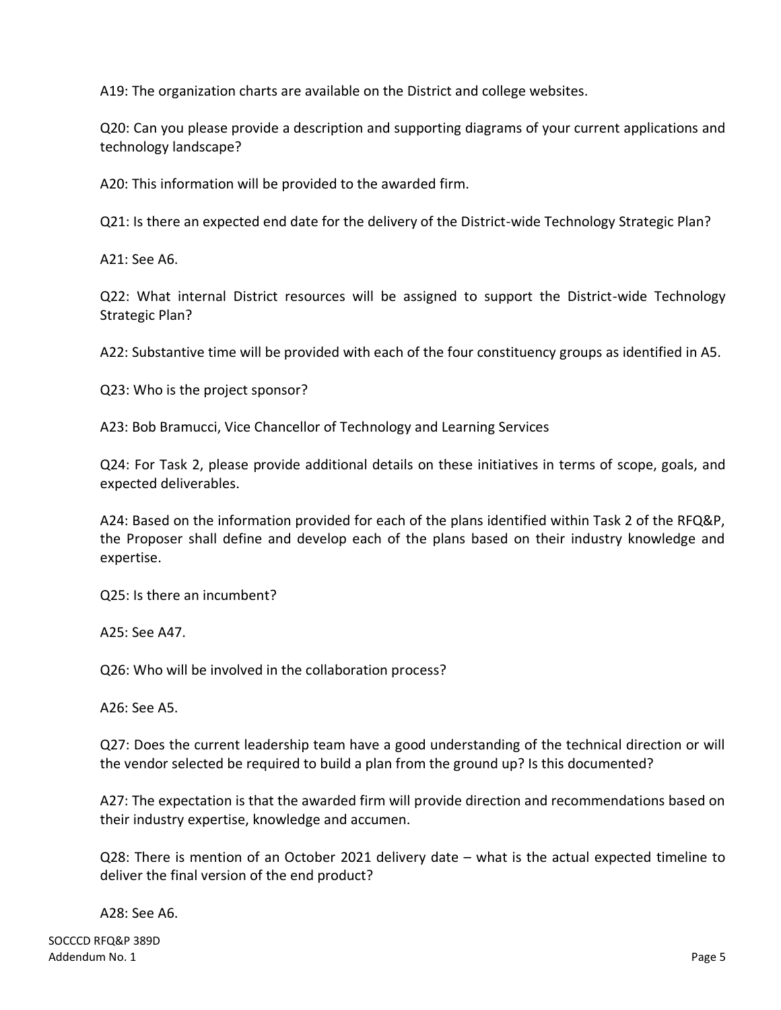A19: The organization charts are available on the District and college websites.

Q20: Can you please provide a description and supporting diagrams of your current applications and technology landscape?

A20: This information will be provided to the awarded firm.

Q21: Is there an expected end date for the delivery of the District-wide Technology Strategic Plan?

A21: See A6.

Q22: What internal District resources will be assigned to support the District-wide Technology Strategic Plan?

A22: Substantive time will be provided with each of the four constituency groups as identified in A5.

Q23: Who is the project sponsor?

A23: Bob Bramucci, Vice Chancellor of Technology and Learning Services

Q24: For Task 2, please provide additional details on these initiatives in terms of scope, goals, and expected deliverables.

A24: Based on the information provided for each of the plans identified within Task 2 of the RFQ&P, the Proposer shall define and develop each of the plans based on their industry knowledge and expertise.

Q25: Is there an incumbent?

A25: See A47.

Q26: Who will be involved in the collaboration process?

A26: See A5.

Q27: Does the current leadership team have a good understanding of the technical direction or will the vendor selected be required to build a plan from the ground up? Is this documented?

A27: The expectation is that the awarded firm will provide direction and recommendations based on their industry expertise, knowledge and accumen.

Q28: There is mention of an October 2021 delivery date – what is the actual expected timeline to deliver the final version of the end product?

A28: See A6.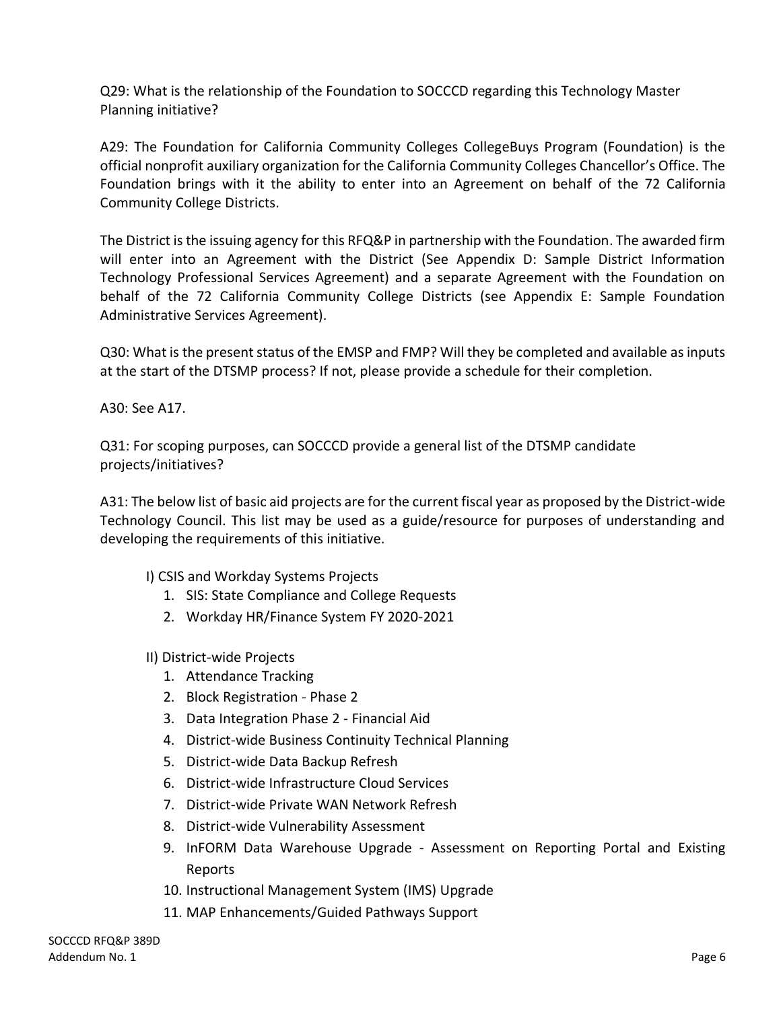Q29: What is the relationship of the Foundation to SOCCCD regarding this Technology Master Planning initiative?

A29: The Foundation for California Community Colleges CollegeBuys Program (Foundation) is the official nonprofit auxiliary organization for the California Community Colleges Chancellor's Office. The Foundation brings with it the ability to enter into an Agreement on behalf of the 72 California Community College Districts.

The District is the issuing agency for this RFQ&P in partnership with the Foundation. The awarded firm will enter into an Agreement with the District (See Appendix D: Sample District Information Technology Professional Services Agreement) and a separate Agreement with the Foundation on behalf of the 72 California Community College Districts (see Appendix E: Sample Foundation Administrative Services Agreement).

Q30: What is the present status of the EMSP and FMP? Will they be completed and available as inputs at the start of the DTSMP process? If not, please provide a schedule for their completion.

A30: See A17.

Q31: For scoping purposes, can SOCCCD provide a general list of the DTSMP candidate projects/initiatives?

A31: The below list of basic aid projects are for the current fiscal year as proposed by the District-wide Technology Council. This list may be used as a guide/resource for purposes of understanding and developing the requirements of this initiative.

- I) CSIS and Workday Systems Projects
	- 1. SIS: State Compliance and College Requests
	- 2. Workday HR/Finance System FY 2020-2021
- II) District-wide Projects
	- 1. Attendance Tracking
	- 2. Block Registration Phase 2
	- 3. Data Integration Phase 2 Financial Aid
	- 4. District-wide Business Continuity Technical Planning
	- 5. District-wide Data Backup Refresh
	- 6. District-wide Infrastructure Cloud Services
	- 7. District-wide Private WAN Network Refresh
	- 8. District-wide Vulnerability Assessment
	- 9. InFORM Data Warehouse Upgrade Assessment on Reporting Portal and Existing Reports
	- 10. Instructional Management System (IMS) Upgrade
	- 11. MAP Enhancements/Guided Pathways Support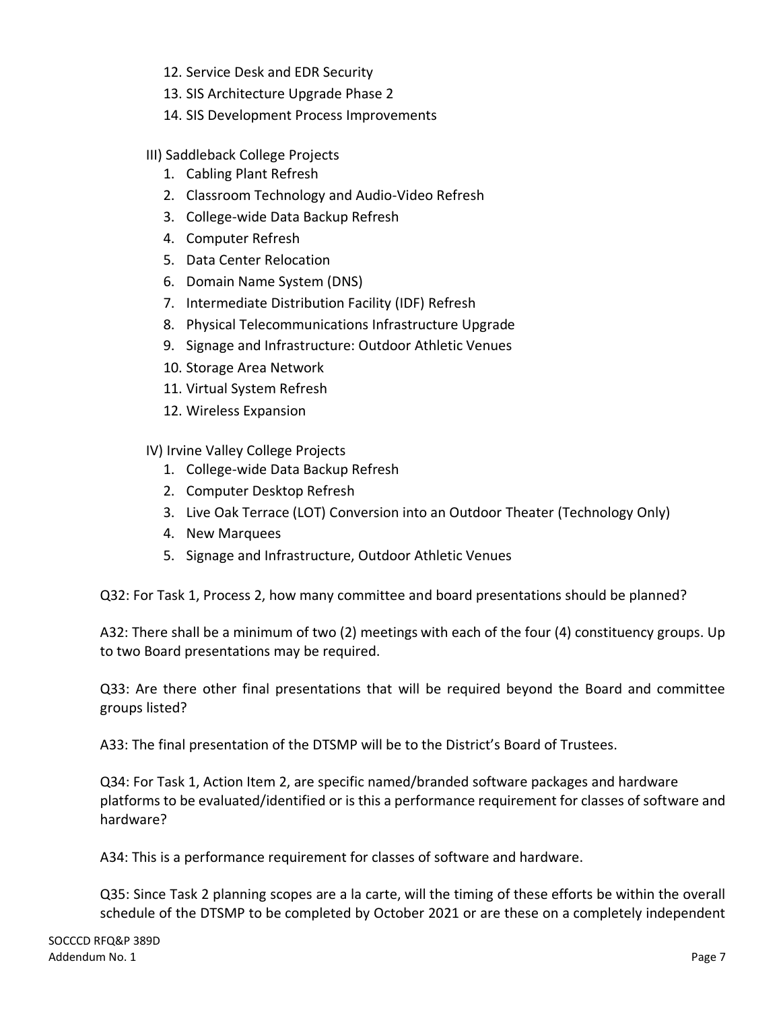- 12. Service Desk and EDR Security
- 13. SIS Architecture Upgrade Phase 2
- 14. SIS Development Process Improvements
- III) Saddleback College Projects
	- 1. Cabling Plant Refresh
	- 2. Classroom Technology and Audio-Video Refresh
	- 3. College-wide Data Backup Refresh
	- 4. Computer Refresh
	- 5. Data Center Relocation
	- 6. Domain Name System (DNS)
	- 7. Intermediate Distribution Facility (IDF) Refresh
	- 8. Physical Telecommunications Infrastructure Upgrade
	- 9. Signage and Infrastructure: Outdoor Athletic Venues
	- 10. Storage Area Network
	- 11. Virtual System Refresh
	- 12. Wireless Expansion
- IV) Irvine Valley College Projects
	- 1. College-wide Data Backup Refresh
	- 2. Computer Desktop Refresh
	- 3. Live Oak Terrace (LOT) Conversion into an Outdoor Theater (Technology Only)
	- 4. New Marquees
	- 5. Signage and Infrastructure, Outdoor Athletic Venues

Q32: For Task 1, Process 2, how many committee and board presentations should be planned?

A32: There shall be a minimum of two (2) meetings with each of the four (4) constituency groups. Up to two Board presentations may be required.

Q33: Are there other final presentations that will be required beyond the Board and committee groups listed?

A33: The final presentation of the DTSMP will be to the District's Board of Trustees.

Q34: For Task 1, Action Item 2, are specific named/branded software packages and hardware platforms to be evaluated/identified or is this a performance requirement for classes of software and hardware?

A34: This is a performance requirement for classes of software and hardware.

Q35: Since Task 2 planning scopes are a la carte, will the timing of these efforts be within the overall schedule of the DTSMP to be completed by October 2021 or are these on a completely independent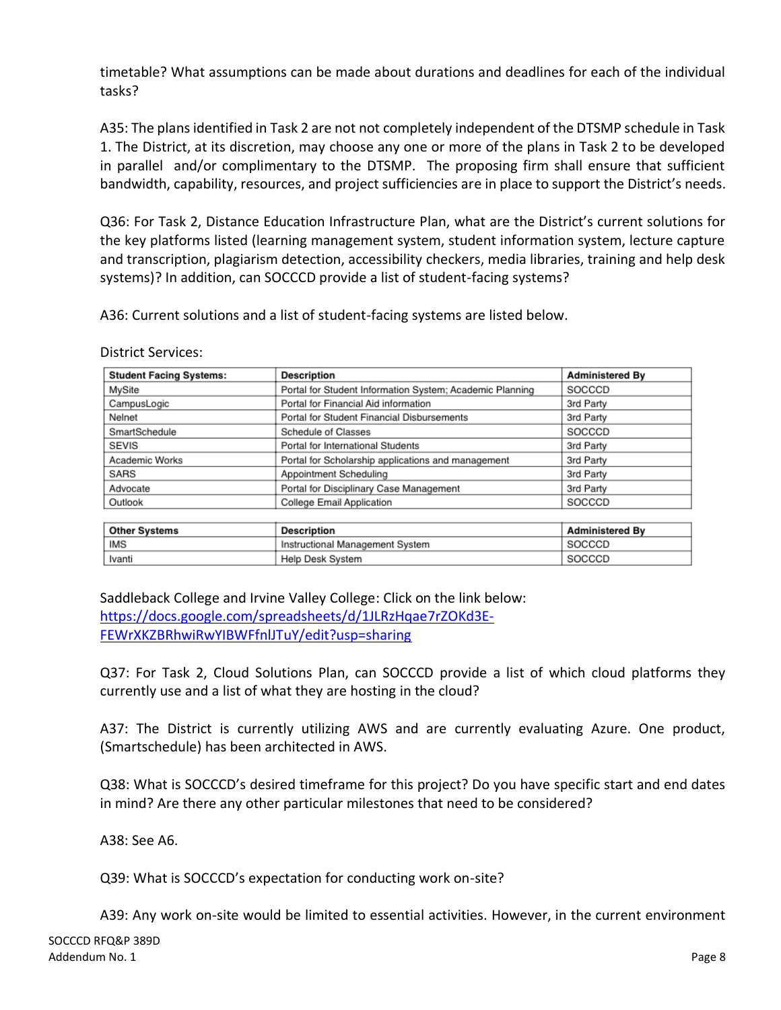timetable? What assumptions can be made about durations and deadlines for each of the individual tasks?

A35: The plans identified in Task 2 are not not completely independent of the DTSMP schedule in Task 1. The District, at its discretion, may choose any one or more of the plans in Task 2 to be developed in parallel and/or complimentary to the DTSMP. The proposing firm shall ensure that sufficient bandwidth, capability, resources, and project sufficiencies are in place to support the District's needs.

Q36: For Task 2, Distance Education Infrastructure Plan, what are the District's current solutions for the key platforms listed (learning management system, student information system, lecture capture and transcription, plagiarism detection, accessibility checkers, media libraries, training and help desk systems)? In addition, can SOCCCD provide a list of student-facing systems?

A36: Current solutions and a list of student-facing systems are listed below.

## District Services:

| <b>Student Facing Systems:</b> | Description                                              | <b>Administered By</b> |
|--------------------------------|----------------------------------------------------------|------------------------|
| MySite                         | Portal for Student Information System; Academic Planning | SOCCCD                 |
| CampusLogic                    | Portal for Financial Aid information                     | 3rd Party              |
| Nelnet                         | Portal for Student Financial Disbursements               | 3rd Party              |
| SmartSchedule                  | Schedule of Classes                                      | SOCCCD                 |
| <b>SEVIS</b>                   | Portal for International Students                        | 3rd Party              |
| Academic Works                 | Portal for Scholarship applications and management       | 3rd Party              |
| SARS                           | Appointment Scheduling                                   | 3rd Party              |
| Advocate                       | Portal for Disciplinary Case Management                  | 3rd Party              |
| Outlook                        | College Email Application                                | SOCCCD                 |

|  | <b>Other Systems</b> | Description                     | <b>Administered By</b> |
|--|----------------------|---------------------------------|------------------------|
|  | <b>IMS</b>           | Instructional Management System | SOCCCD                 |
|  | Ivanti               | Help Desk System                | SOCCCD                 |

Saddleback College and Irvine Valley College: Click on the link below: [https://docs.google.com/spreadsheets/d/1JLRzHqae7rZOKd3E-](https://docs.google.com/spreadsheets/d/1JLRzHqae7rZOKd3E-FEWrXKZBRhwiRwYIBWFfnlJTuY/edit?usp=sharing)[FEWrXKZBRhwiRwYIBWFfnlJTuY/edit?usp=sharing](https://docs.google.com/spreadsheets/d/1JLRzHqae7rZOKd3E-FEWrXKZBRhwiRwYIBWFfnlJTuY/edit?usp=sharing)

Q37: For Task 2, Cloud Solutions Plan, can SOCCCD provide a list of which cloud platforms they currently use and a list of what they are hosting in the cloud?

A37: The District is currently utilizing AWS and are currently evaluating Azure. One product, (Smartschedule) has been architected in AWS.

Q38: What is SOCCCD's desired timeframe for this project? Do you have specific start and end dates in mind? Are there any other particular milestones that need to be considered?

A38: See A6.

Q39: What is SOCCCD's expectation for conducting work on-site?

A39: Any work on-site would be limited to essential activities. However, in the current environment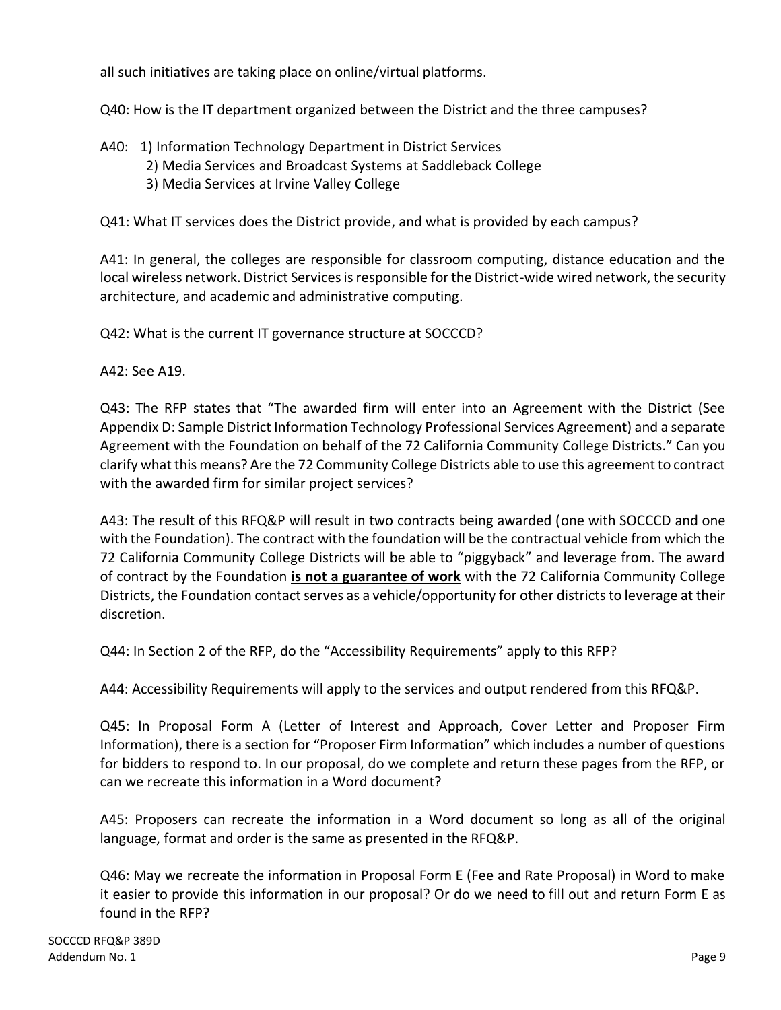all such initiatives are taking place on online/virtual platforms.

Q40: How is the IT department organized between the District and the three campuses?

- A40: 1) Information Technology Department in District Services
	- 2) Media Services and Broadcast Systems at Saddleback College
	- 3) Media Services at Irvine Valley College

Q41: What IT services does the District provide, and what is provided by each campus?

A41: In general, the colleges are responsible for classroom computing, distance education and the local wireless network. District Services is responsible for the District-wide wired network, the security architecture, and academic and administrative computing.

Q42: What is the current IT governance structure at SOCCCD?

A42: See A19.

Q43: The RFP states that "The awarded firm will enter into an Agreement with the District (See Appendix D: Sample District Information Technology Professional Services Agreement) and a separate Agreement with the Foundation on behalf of the 72 California Community College Districts." Can you clarify what this means? Are the 72 Community College Districts able to use this agreement to contract with the awarded firm for similar project services?

A43: The result of this RFQ&P will result in two contracts being awarded (one with SOCCCD and one with the Foundation). The contract with the foundation will be the contractual vehicle from which the 72 California Community College Districts will be able to "piggyback" and leverage from. The award of contract by the Foundation **is not a guarantee of work** with the 72 California Community College Districts, the Foundation contact serves as a vehicle/opportunity for other districts to leverage at their discretion.

Q44: In Section 2 of the RFP, do the "Accessibility Requirements" apply to this RFP?

A44: Accessibility Requirements will apply to the services and output rendered from this RFQ&P.

Q45: In Proposal Form A (Letter of Interest and Approach, Cover Letter and Proposer Firm Information), there is a section for "Proposer Firm Information" which includes a number of questions for bidders to respond to. In our proposal, do we complete and return these pages from the RFP, or can we recreate this information in a Word document?

A45: Proposers can recreate the information in a Word document so long as all of the original language, format and order is the same as presented in the RFQ&P.

Q46: May we recreate the information in Proposal Form E (Fee and Rate Proposal) in Word to make it easier to provide this information in our proposal? Or do we need to fill out and return Form E as found in the RFP?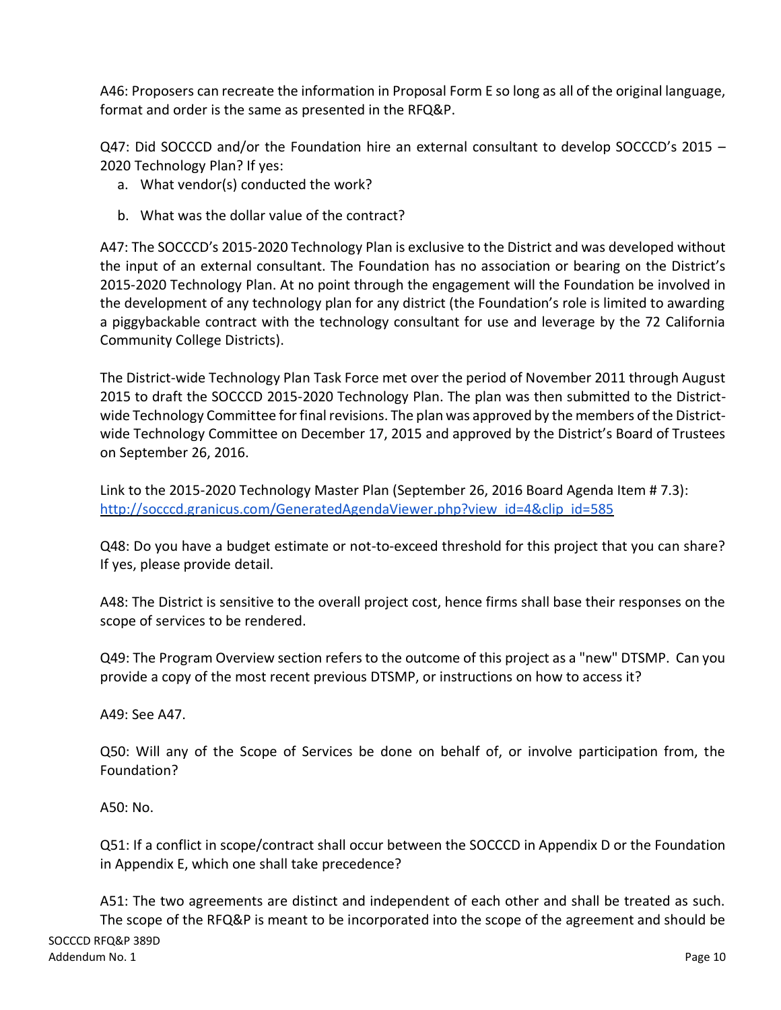A46: Proposers can recreate the information in Proposal Form E so long as all of the original language, format and order is the same as presented in the RFQ&P.

Q47: Did SOCCCD and/or the Foundation hire an external consultant to develop SOCCCD's 2015 – 2020 Technology Plan? If yes:

- a. What vendor(s) conducted the work?
- b. What was the dollar value of the contract?

A47: The SOCCCD's 2015-2020 Technology Plan is exclusive to the District and was developed without the input of an external consultant. The Foundation has no association or bearing on the District's 2015-2020 Technology Plan. At no point through the engagement will the Foundation be involved in the development of any technology plan for any district (the Foundation's role is limited to awarding a piggybackable contract with the technology consultant for use and leverage by the 72 California Community College Districts).

The District-wide Technology Plan Task Force met over the period of November 2011 through August 2015 to draft the SOCCCD 2015-2020 Technology Plan. The plan was then submitted to the Districtwide Technology Committee for final revisions. The plan was approved by the members of the Districtwide Technology Committee on December 17, 2015 and approved by the District's Board of Trustees on September 26, 2016.

Link to the 2015-2020 Technology Master Plan (September 26, 2016 Board Agenda Item # 7.3): [http://socccd.granicus.com/GeneratedAgendaViewer.php?view\\_id=4&clip\\_id=585](http://socccd.granicus.com/GeneratedAgendaViewer.php?view_id=4&clip_id=585)

Q48: Do you have a budget estimate or not-to-exceed threshold for this project that you can share? If yes, please provide detail.

A48: The District is sensitive to the overall project cost, hence firms shall base their responses on the scope of services to be rendered.

Q49: The Program Overview section refers to the outcome of this project as a "new" DTSMP. Can you provide a copy of the most recent previous DTSMP, or instructions on how to access it?

A49: See A47.

Q50: Will any of the Scope of Services be done on behalf of, or involve participation from, the Foundation?

A50: No.

Q51: If a conflict in scope/contract shall occur between the SOCCCD in Appendix D or the Foundation in Appendix E, which one shall take precedence?

SOCCCD RFQ&P 389D Addendum No. 1 Page 10 A51: The two agreements are distinct and independent of each other and shall be treated as such. The scope of the RFQ&P is meant to be incorporated into the scope of the agreement and should be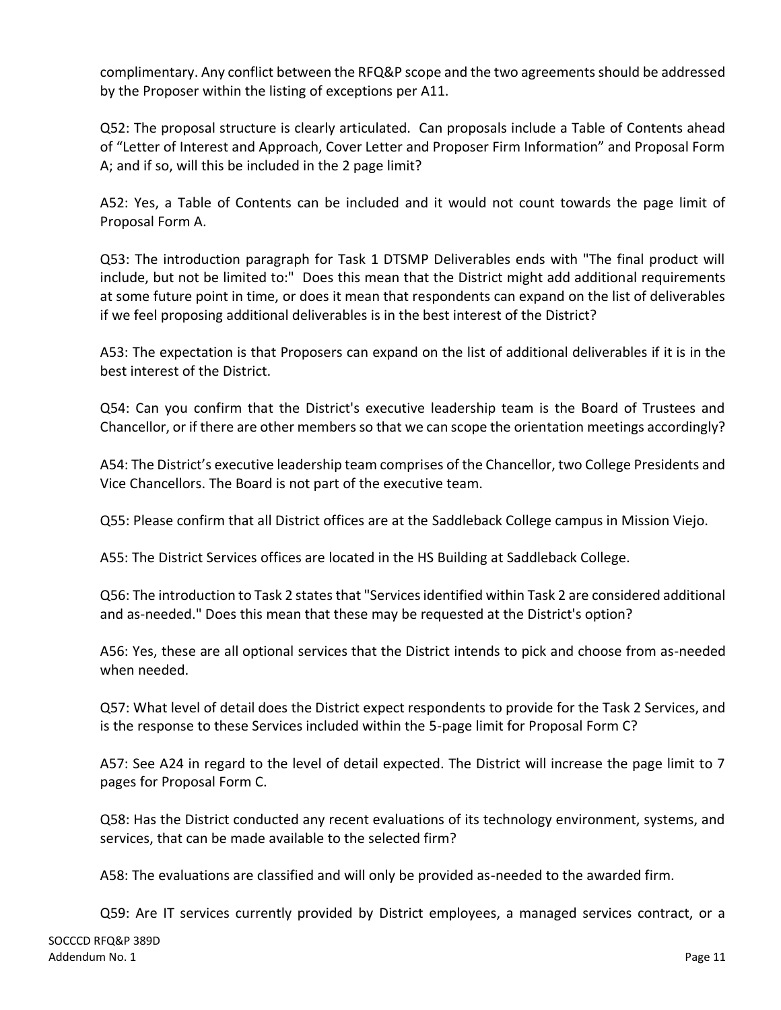complimentary. Any conflict between the RFQ&P scope and the two agreements should be addressed by the Proposer within the listing of exceptions per A11.

Q52: The proposal structure is clearly articulated. Can proposals include a Table of Contents ahead of "Letter of Interest and Approach, Cover Letter and Proposer Firm Information" and Proposal Form A; and if so, will this be included in the 2 page limit?

A52: Yes, a Table of Contents can be included and it would not count towards the page limit of Proposal Form A.

Q53: The introduction paragraph for Task 1 DTSMP Deliverables ends with "The final product will include, but not be limited to:" Does this mean that the District might add additional requirements at some future point in time, or does it mean that respondents can expand on the list of deliverables if we feel proposing additional deliverables is in the best interest of the District?

A53: The expectation is that Proposers can expand on the list of additional deliverables if it is in the best interest of the District.

Q54: Can you confirm that the District's executive leadership team is the Board of Trustees and Chancellor, or if there are other members so that we can scope the orientation meetings accordingly?

A54: The District's executive leadership team comprises of the Chancellor, two College Presidents and Vice Chancellors. The Board is not part of the executive team.

Q55: Please confirm that all District offices are at the Saddleback College campus in Mission Viejo.

A55: The District Services offices are located in the HS Building at Saddleback College.

Q56: The introduction to Task 2 states that "Services identified within Task 2 are considered additional and as-needed." Does this mean that these may be requested at the District's option?

A56: Yes, these are all optional services that the District intends to pick and choose from as-needed when needed.

Q57: What level of detail does the District expect respondents to provide for the Task 2 Services, and is the response to these Services included within the 5-page limit for Proposal Form C?

A57: See A24 in regard to the level of detail expected. The District will increase the page limit to 7 pages for Proposal Form C.

Q58: Has the District conducted any recent evaluations of its technology environment, systems, and services, that can be made available to the selected firm?

A58: The evaluations are classified and will only be provided as-needed to the awarded firm.

Q59: Are IT services currently provided by District employees, a managed services contract, or a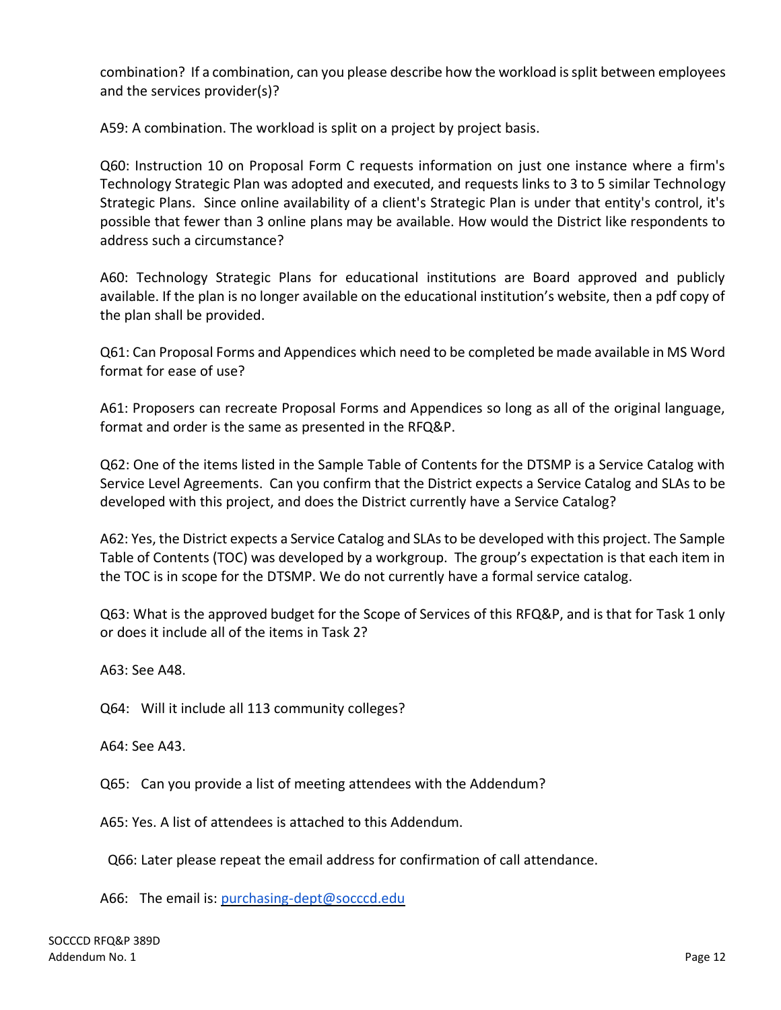combination? If a combination, can you please describe how the workload is split between employees and the services provider(s)?

A59: A combination. The workload is split on a project by project basis.

Q60: Instruction 10 on Proposal Form C requests information on just one instance where a firm's Technology Strategic Plan was adopted and executed, and requests links to 3 to 5 similar Technology Strategic Plans. Since online availability of a client's Strategic Plan is under that entity's control, it's possible that fewer than 3 online plans may be available. How would the District like respondents to address such a circumstance?

A60: Technology Strategic Plans for educational institutions are Board approved and publicly available. If the plan is no longer available on the educational institution's website, then a pdf copy of the plan shall be provided.

Q61: Can Proposal Forms and Appendices which need to be completed be made available in MS Word format for ease of use?

A61: Proposers can recreate Proposal Forms and Appendices so long as all of the original language, format and order is the same as presented in the RFQ&P.

Q62: One of the items listed in the Sample Table of Contents for the DTSMP is a Service Catalog with Service Level Agreements. Can you confirm that the District expects a Service Catalog and SLAs to be developed with this project, and does the District currently have a Service Catalog?

A62: Yes, the District expects a Service Catalog and SLAs to be developed with this project. The Sample Table of Contents (TOC) was developed by a workgroup. The group's expectation is that each item in the TOC is in scope for the DTSMP. We do not currently have a formal service catalog.

Q63: What is the approved budget for the Scope of Services of this RFQ&P, and is that for Task 1 only or does it include all of the items in Task 2?

A63: See A48.

Q64: Will it include all 113 community colleges?

A64: See A43.

Q65: Can you provide a list of meeting attendees with the Addendum?

A65: Yes. A list of attendees is attached to this Addendum.

Q66: Later please repeat the email address for confirmation of call attendance.

A66: The email is: [purchasing-dept@socccd.edu](mailto:purchasing-dept@socccd.edu)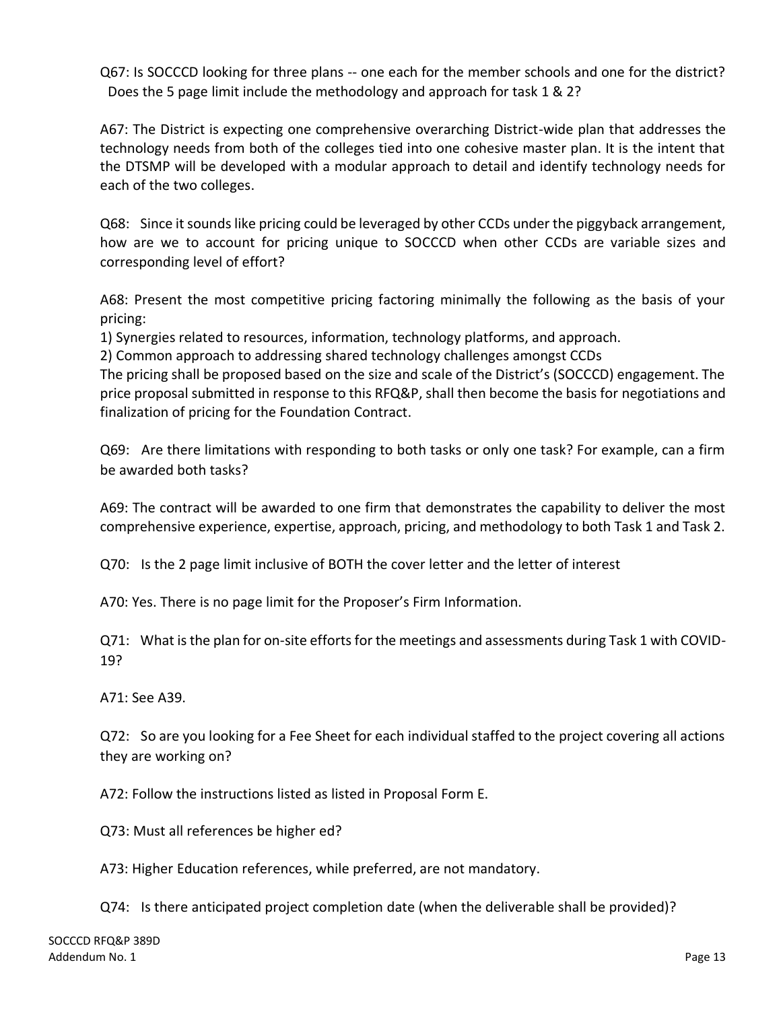Q67: Is SOCCCD looking for three plans -- one each for the member schools and one for the district? Does the 5 page limit include the methodology and approach for task 1 & 2?

A67: The District is expecting one comprehensive overarching District-wide plan that addresses the technology needs from both of the colleges tied into one cohesive master plan. It is the intent that the DTSMP will be developed with a modular approach to detail and identify technology needs for each of the two colleges.

Q68: Since it sounds like pricing could be leveraged by other CCDs under the piggyback arrangement, how are we to account for pricing unique to SOCCCD when other CCDs are variable sizes and corresponding level of effort?

A68: Present the most competitive pricing factoring minimally the following as the basis of your pricing:

1) Synergies related to resources, information, technology platforms, and approach.

2) Common approach to addressing shared technology challenges amongst CCDs

The pricing shall be proposed based on the size and scale of the District's (SOCCCD) engagement. The price proposal submitted in response to this RFQ&P, shall then become the basis for negotiations and finalization of pricing for the Foundation Contract.

Q69: Are there limitations with responding to both tasks or only one task? For example, can a firm be awarded both tasks?

A69: The contract will be awarded to one firm that demonstrates the capability to deliver the most comprehensive experience, expertise, approach, pricing, and methodology to both Task 1 and Task 2.

Q70: Is the 2 page limit inclusive of BOTH the cover letter and the letter of interest

A70: Yes. There is no page limit for the Proposer's Firm Information.

Q71: What is the plan for on-site efforts for the meetings and assessments during Task 1 with COVID-19?

A71: See A39.

Q72: So are you looking for a Fee Sheet for each individual staffed to the project covering all actions they are working on?

A72: Follow the instructions listed as listed in Proposal Form E.

Q73: Must all references be higher ed?

A73: Higher Education references, while preferred, are not mandatory.

Q74: Is there anticipated project completion date (when the deliverable shall be provided)?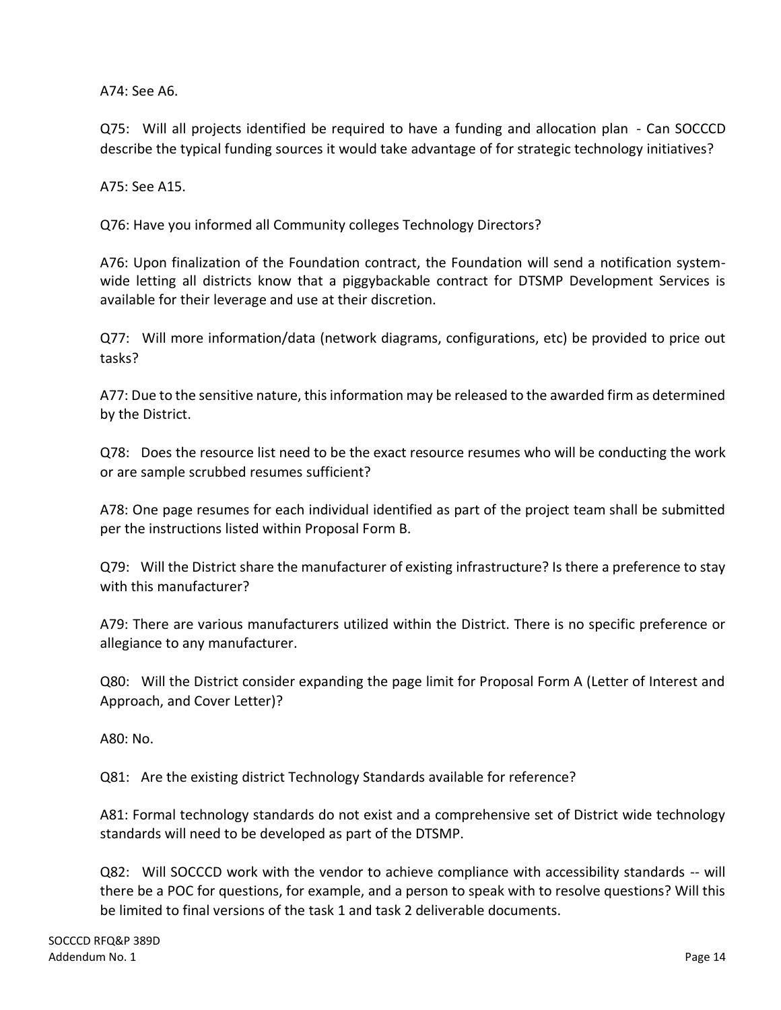A74: See A6.

Q75: Will all projects identified be required to have a funding and allocation plan - Can SOCCCD describe the typical funding sources it would take advantage of for strategic technology initiatives?

A75: See A15.

Q76: Have you informed all Community colleges Technology Directors?

A76: Upon finalization of the Foundation contract, the Foundation will send a notification systemwide letting all districts know that a piggybackable contract for DTSMP Development Services is available for their leverage and use at their discretion.

Q77: Will more information/data (network diagrams, configurations, etc) be provided to price out tasks?

A77: Due to the sensitive nature, this information may be released to the awarded firm as determined by the District.

Q78: Does the resource list need to be the exact resource resumes who will be conducting the work or are sample scrubbed resumes sufficient?

A78: One page resumes for each individual identified as part of the project team shall be submitted per the instructions listed within Proposal Form B.

Q79: Will the District share the manufacturer of existing infrastructure? Is there a preference to stay with this manufacturer?

A79: There are various manufacturers utilized within the District. There is no specific preference or allegiance to any manufacturer.

Q80: Will the District consider expanding the page limit for Proposal Form A (Letter of Interest and Approach, and Cover Letter)?

A80: No.

Q81: Are the existing district Technology Standards available for reference?

A81: Formal technology standards do not exist and a comprehensive set of District wide technology standards will need to be developed as part of the DTSMP.

Q82: Will SOCCCD work with the vendor to achieve compliance with accessibility standards -- will there be a POC for questions, for example, and a person to speak with to resolve questions? Will this be limited to final versions of the task 1 and task 2 deliverable documents.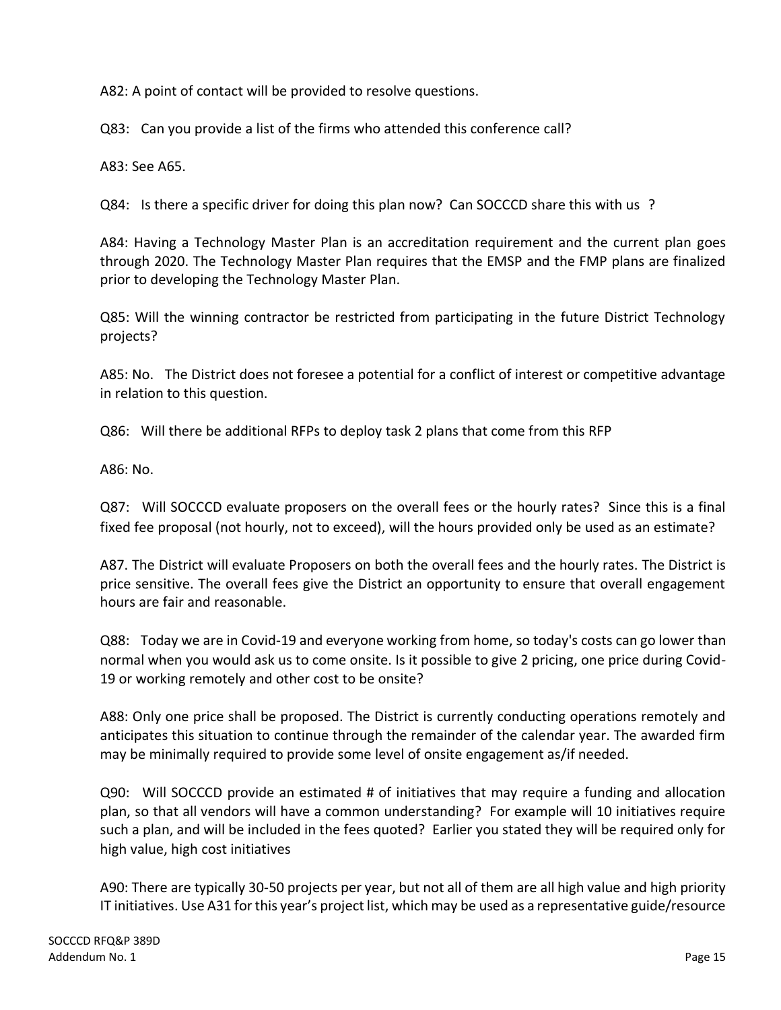A82: A point of contact will be provided to resolve questions.

Q83: Can you provide a list of the firms who attended this conference call?

A83: See A65.

Q84: Is there a specific driver for doing this plan now? Can SOCCCD share this with us ?

A84: Having a Technology Master Plan is an accreditation requirement and the current plan goes through 2020. The Technology Master Plan requires that the EMSP and the FMP plans are finalized prior to developing the Technology Master Plan.

Q85: Will the winning contractor be restricted from participating in the future District Technology projects?

A85: No. The District does not foresee a potential for a conflict of interest or competitive advantage in relation to this question.

Q86: Will there be additional RFPs to deploy task 2 plans that come from this RFP

A86: No.

Q87: Will SOCCCD evaluate proposers on the overall fees or the hourly rates? Since this is a final fixed fee proposal (not hourly, not to exceed), will the hours provided only be used as an estimate?

A87. The District will evaluate Proposers on both the overall fees and the hourly rates. The District is price sensitive. The overall fees give the District an opportunity to ensure that overall engagement hours are fair and reasonable.

Q88: Today we are in Covid-19 and everyone working from home, so today's costs can go lower than normal when you would ask us to come onsite. Is it possible to give 2 pricing, one price during Covid-19 or working remotely and other cost to be onsite?

A88: Only one price shall be proposed. The District is currently conducting operations remotely and anticipates this situation to continue through the remainder of the calendar year. The awarded firm may be minimally required to provide some level of onsite engagement as/if needed.

Q90: Will SOCCCD provide an estimated # of initiatives that may require a funding and allocation plan, so that all vendors will have a common understanding? For example will 10 initiatives require such a plan, and will be included in the fees quoted? Earlier you stated they will be required only for high value, high cost initiatives

A90: There are typically 30-50 projects per year, but not all of them are all high value and high priority IT initiatives. Use A31 for this year's project list, which may be used as a representative guide/resource